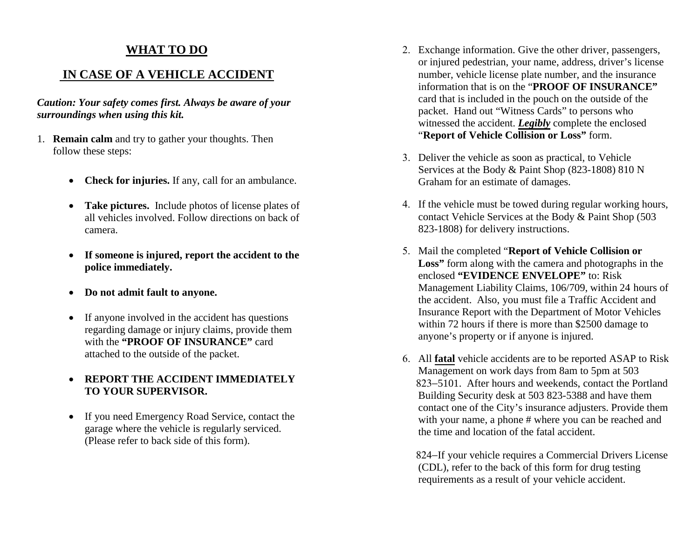## **WHAT TO DO**

### **IN CASE OF A VEHICLE ACCIDENT**

*Caution: Your safety comes first. Always be aware of your surroundings when using this kit.*

- 1. **Remain calm** and try to gather your thoughts. Then follow these steps:
	- **Check for injuries.** If any, call for an ambulance.
	- **Take pictures.** Include photos of license plates of all vehicles involved. Follow directions on back of camera.
	- **If someone is injured, report the accident to the police immediately.**
	- **Do not admit fault to anyone.**
	- If anyone involved in the accident has questions regarding damage or injury claims, provide them with the **"PROOF OF INSURANCE"** card attached to the outside of the packet.

#### • **REPORT THE ACCIDENT IMMEDIATELY TO YOUR SUPERVISOR.**

• If you need Emergency Road Service, contact the garage where the vehicle is regularly serviced. (Please refer to back side of this form).

- 2. Exchange information. Give the other driver, passengers, or injured pedestrian, your name, address, driver's license number, vehicle license plate number, and the insurance information that is on the "**PROOF OF INSURANCE"** card that is included in the pouch on the outside of the packet. Hand out "Witness Cards" to persons who witnessed the accident. *Legibly* complete the enclosed "**Report of Vehicle Collision or Loss"** form.
- 3. Deliver the vehicle as soon as practical, to Vehicle Services at the Body & Paint Shop (823-1808) 810 N Graham for an estimate of damages.
- 4. If the vehicle must be towed during regular working hours, contact Vehicle Services at the Body & Paint Shop (503 823-1808) for delivery instructions.
- 5. Mail the completed "**Report of Vehicle Collision or Loss"** form along with the camera and photographs in the enclosed **"EVIDENCE ENVELOPE"** to: Risk Management Liability Claims, 106/709, within 24 hours of the accident. Also, you must file a Traffic Accident and Insurance Report with the Department of Motor Vehicles within 72 hours if there is more than \$2500 damage to anyone's property or if anyone is injured.
- 6. All **fatal** vehicle accidents are to be reported ASAP to Risk Management on work days from 8am to 5pm at 503 823−5101. After hours and weekends, contact the Portland Building Security desk at 503 823-5388 and have them contact one of the City's insurance adjusters. Provide them with your name, a phone # where you can be reached and the time and location of the fatal accident.

824–If your vehicle requires a Commercial Drivers License (CDL), refer to the back of this form for drug testing requirements as a result of your vehicle accident.